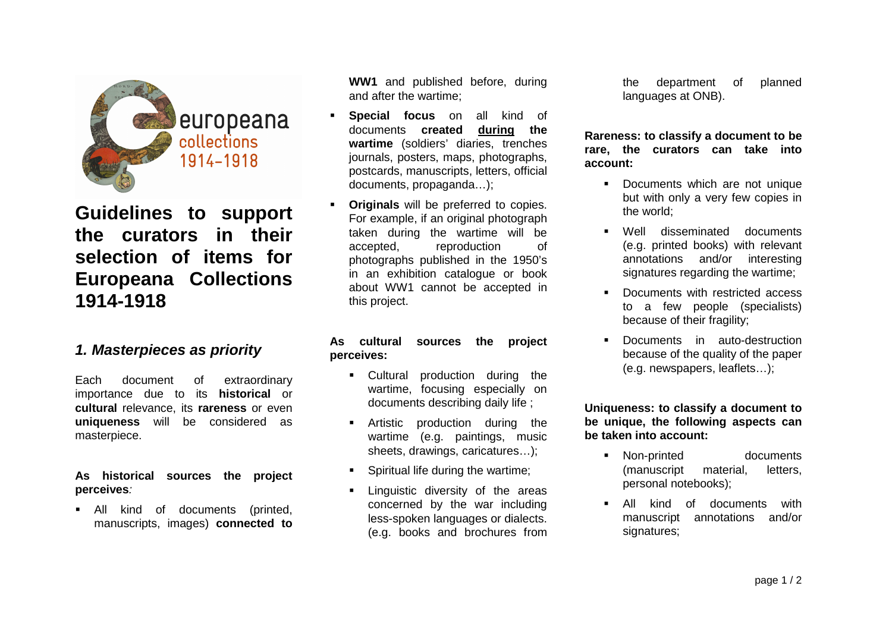

**Guidelines to support the curators in their selection of items for Europeana Collections 1914-1918** 

### **1. Masterpieces as priority**

Each document of extraordinary importance due to its **historical** or **cultural** relevance, its **rareness** or even **uniqueness** will be considered as masterpiece.

#### **As historical sources the project perceives**:

 All kind of documents (printed, manuscripts, images) **connected to**

**WW1** and published before, during and after the wartime;

- W **Special focus** on all kind of documents **created during the** documents **created wartime** (soldiers' diaries, trenches journals, posters, maps, photographs, postcards, manuscripts, letters, official documents, propaganda…);
- **Originals** will be preferred to copies. For example, if an original photograph taken during the wartime will be accepted, reproduction of photographs published in the 1950's in an exhibition catalogue or book about WW1 cannot be accepted in this project.

W

#### **As cultural sources the project perceives:**

- **Cultural production during the** wartime, focusing especially on documents describing daily life ;
- Artistic production during the wartime (e.g. paintings, music sheets, drawings, caricatures…);
- Spiritual life during the wartime;
- **Exercise** Linguistic diversity of the areas concerned by the war including less-spoken languages or dialects. (e.g. books and brochures from

```
the department of planned languages at ONB).
```
#### **Rareness: to classify a document to be rare, the curators can take into account:**

- Documents which are not unique but with only a very few copies in the world;
- Well disseminated documents (e.g. printed books) with relevant annotations and/or interesting signatures regarding the wartime;
- Documents with restricted access to a few people (specialists) because of their fragility;
- Documents in auto-destruction because of the quality of the paper (e.g. newspapers, leaflets…);

**Uniqueness: to classify a document to be unique, the following aspects can be taken into account:** 

- Non-printed documents (manuscript material, letters, personal notebooks);
- All kind of documents with manuscript annotations and/or signatures;